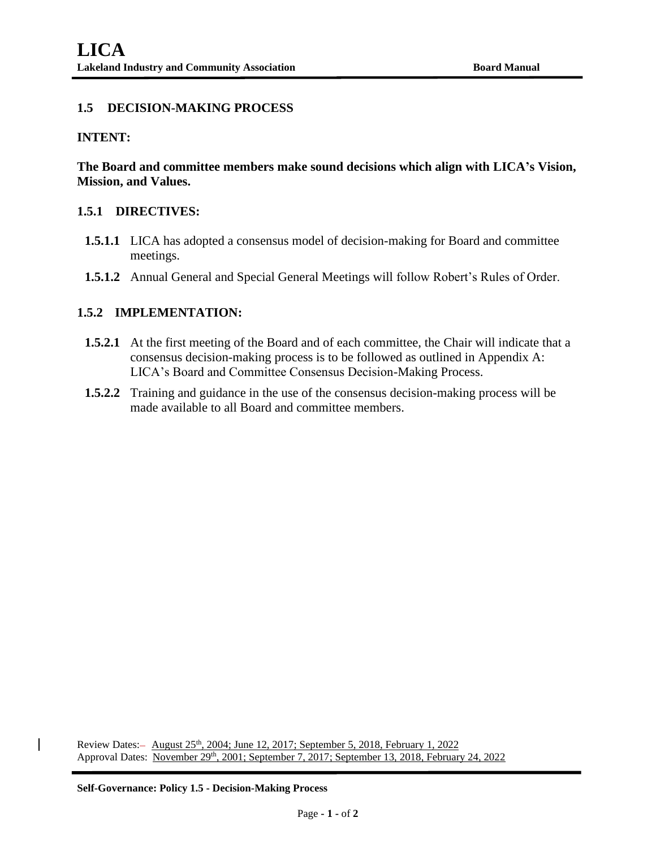# **1.5 DECISION-MAKING PROCESS**

## **INTENT:**

**The Board and committee members make sound decisions which align with LICA's Vision, Mission, and Values.**

### **1.5.1 DIRECTIVES:**

- **1.5.1.1** LICA has adopted a consensus model of decision-making for Board and committee meetings.
- **1.5.1.2** Annual General and Special General Meetings will follow Robert's Rules of Order.

## **1.5.2 IMPLEMENTATION:**

- **1.5.2.1** At the first meeting of the Board and of each committee, the Chair will indicate that a consensus decision-making process is to be followed as outlined in Appendix A: LICA's Board and Committee Consensus Decision-Making Process.
- **1.5.2.2** Training and guidance in the use of the consensus decision-making process will be made available to all Board and committee members.

Review Dates: - August 25<sup>th</sup>, 2004; June 12, 2017; September 5, 2018, February 1, 2022 Approval Dates: November 29<sup>th</sup>, 2001; September 7, 2017; September 13, 2018, February 24, 2022